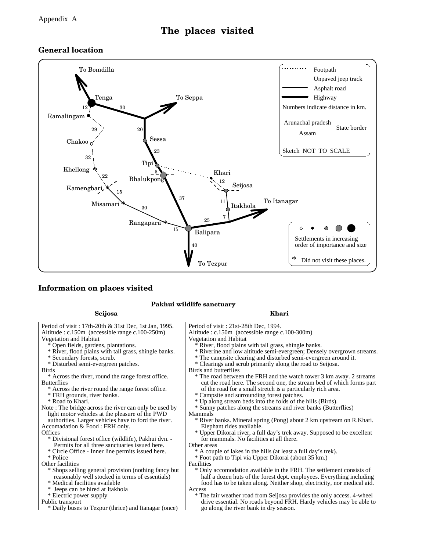## **The places visited**

## **General location**



## **Information on places visited**

#### **Pakhui wildlife sanctuary**

#### **Seijosa Khari**

Vegetation and Habitat Altitude : c.150m (accessible range c.100-250m) Altitude : c.150m (accessible range c.100-300m) Period of visit : 17th-20th & 31st Dec, 1st Jan, 1995. Period of visit : 21st-28th Dec, 1994.

- Open fields, gardens, plantations.
- \* River, flood plains with tall grass, shingle banks.
- \* Secondary forests, scrub.
- \* Disturbed semi-evergreen patches.
- Birds

**Butterflies** \* Across the river, round the range forest office.

- \* Across the river round the range forest office.
- \* FRH grounds, river banks.
- \* Road to Khari.
- Note : The bridge across the river can only be used by light motor vehicles at the pleasure of the PWD authorities. Larger vehicles have to ford the river.
- Accomadation & Food : FRH only.
- **Offices** 
	- Permits for all three sanctuaries issued here. \* Divisional forest office (wildlife), Pakhui dvn. -
	- \* Circle Office Inner line permits issued here.
	- \* Police

Other facilities

- \* Shops selling general provision (nothing fancy but reasonably well stocked in terms of essentials)
- \* Medical facilities available
- Jeeps can be hired at Itakhola
- \* Electric power supply

Public transport

\* Daily buses to Tezpur (thrice) and Itanagar (once)

- Vegetation and Habitat
	- River, flood plains with tall grass, shingle banks.
- \* Riverine and low altitude semi-evergreen; Densely overgrown streams.
- \* The campsite clearing and disturbed semi-evergreen around it.
- \* Clearings and scrub primarily along the road to Seijosa.
- Birds and butterflies
	- \* The road between the FRH and the watch tower 3 km away. 2 streams cut the road here. The second one, the stream bed of which forms part of the road for a small stretch is a particularly rich area.
	- \* Campsite and surrounding forest patches.
	- \* Up along stream beds into the folds of the hills (Birds).
	- \* Sunny patches along the streams and river banks (Butterflies)

Mammals

- \* River banks. Mineral spring (Pong) about 2 km upstream on R.Khari. Elephant rides available.
- \* Upper Dikorai river, a full day's trek away. Supposed to be excellent for mammals. No facilities at all there.
- Other areas
	- A couple of lakes in the hills (at least a full day's trek).
	- \* Foot path to Tipi via Upper Dikorai (about 35 km.)
- Facilities
	- Only accomodation available in the FRH. The settlement consists of half a dozen huts of the forest dept. employees. Everything including food has to be taken along. Neither shop, electricity, nor medical aid.
- Access
- \* The fair weather road from Seijosa provides the only access. 4-wheel drive essential. No roads beyond FRH. Hardy vehicles may be able to go along the river bank in dry season.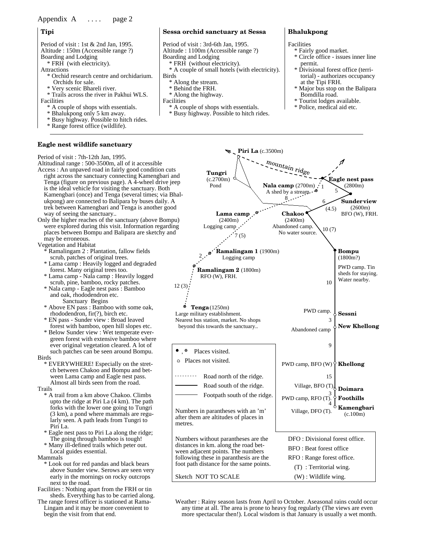### Appendix A .... page 2

#### **Tipi**

Altitude : 150m (Accessible range ?) Period of visit : 1st & 2nd Jan, 1995.

- Boarding and Lodging
	- \* FRH (with electricity).
- Attractions
	- \* Orchid research centre and orchidarium. Orchids for sale.
	- \* Very scenic Bhareli river.
- Facilities \* Trails across the river in Pakhui WLS.
	- \* A couple of shops with essentials.
	- \* Bhalukpong only 5 km away.
	- \* Busy highway. Possible to hitch rides.
	- \* Range forest office (wildlife).

#### **Eagle nest wildlife sanctuary**

#### Altitudinal range : 500-3500m, all of it accessible Access : An unpaved road in fairly good condition cuts right across the sanctuary connecting Kamengbari and Tenga (figure on previous page). A 4-wheel drive jeep is the ideal vehicle for visiting the sanctuary. Both Kamengbari (once) and Tenga (several times; via Bhalukpong) are connected to Balipara by buses daily. A trek between Kamengbari and Tenga is another good way of seeing the sanctuary.. Period of visit : 7th-12th Jan, 1995.

Only the higher reaches of the sanctuary (above Bompu) were explored during this visit. Information regarding places between Bompu and Balipara are sketchy and may be erroneous.

Vegetation and Habitat

- Ramalingam 2 : Plantation, fallow fields scrub, patches of original trees.
- \* Lama camp : Heavily logged and degraded forest. Many original trees too.
- \* Lama camp Nala camp : Heavily logged scrub, pine, bamboo, rocky patches.
- and oak, rhododendron etc. \* Nala camp - Eagle nest pass : Bamboo Sanctuary Begins
- \* Above EN pass : Bamboo with some oak, rhododendron, fir(?), birch etc.
- \* EN pass Sunder view : Broad leaved forest with bamboo, open hill slopes etc.
- Birds \* Below Sunder view : Wet temperate evergreen forest with extensive bamboo where ever original vegetation cleared. A lot of such patches can be seen around Bompu.
	- \* EVERYWHERE! Especially on the stretch between Chakoo and Bompu and between Lama camp and Eagle nest pass. Almost all birds seen from the road.

Trails

- upto the ridge at Piri La (4 km). The path forks with the lower one going to Tungri (3 km), a pond where mammals are regularly seen. A path leads from Tungri to Piri La. \* A trail from a km above Chakoo. Climbs
- \* Eagle nest pass to Piri La along the ridge; The going through bamboo is tough!
- \* Many ill-defined trails which peter out. Local guides essential.

Mammals

- \* Look out for red pandas and black bears above Sunder view. Serows are seen very early in the mornings on rocky outcrops next to the road.
- Facilities : Nothing apart from the FRH or tin sheds. Everything has to be carried along.
- The range forest officer is stationed at Rama-Lingam and it may be more convenient to begin the visit from that end.

#### **Sessa orchid sanctuary at Sessa**

Altitude : 1100m (Accessible range ?) Period of visit : 3rd-6th Jan, 1995.

- Boarding and Lodging
- \* FRH (without electricity).
- Birds \* A couple of small hotels (with electricity).
	- \* Along the stream.
	- \* Behind the FRH.
	- \* Along the highway.
- Facilities
- \* A couple of shops with essentials.
- \* Busy highway. Possible to hitch rides.

#### **Bhalukpong**

#### Facilities

- \* Fairly good market.
- \* Circle office issues inner line permit.
- \* Divisional forest office (territorial) - authorizes occupancy at the Tipi FRH.
- \* Major bus stop on the Balipara Bomdilla road.
- \* Tourist lodges available.
- \* Police, medical aid etc.



more spectacular then!). Local wisdom is that January is usually a wet month. any time at all. The area is prone to heavy fog regularly (The views are even Weather : Rainy season lasts from April to October. Aseasonal rains could occur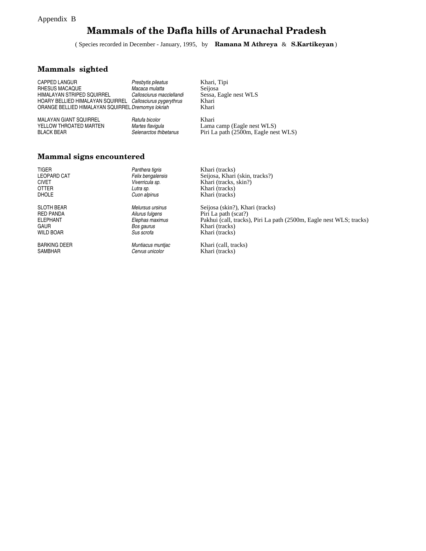#### Appendix B

## **Mammals of the Dafla hills of Arunachal Pradesh**

( Species recorded in December - January, 1995, by **Ramana M Athreya** & **S.Kartikeyan**)

## **Mammals sighted**

YELLOW THROATED MARTEN MALAYAN GIANT SQUIRREL BLACK BEAR

*Ratufa bicolor Martes flavigula Selenarctos thibetanus* Khari, Tipi Seijosa Sessa, Eagle nest WLS Khari Khari

Khari Lama camp (Eagle nest WLS) Piri La path (2500m, Eagle nest WLS)

#### **Mammal signs encountered**

| <b>TIGER</b>        | Panthera tigris   | Khari (tracks)                                                      |
|---------------------|-------------------|---------------------------------------------------------------------|
| <b>LEOPARD CAT</b>  | Felix bengalensis | Seijosa, Khari (skin, tracks?)                                      |
| <b>CIVET</b>        | Viverricula sp.   | Khari (tracks, skin?)                                               |
| <b>OTTER</b>        | Lutra sp.         | Khari (tracks)                                                      |
| <b>DHOLE</b>        | Cuon alpinus      | Khari (tracks)                                                      |
| <b>SLOTH BEAR</b>   | Melursus ursinus  | Seijosa (skin?), Khari (tracks)                                     |
| <b>RED PANDA</b>    | Ailurus fulgens   | Piri La path (scat?)                                                |
| <b>ELEPHANT</b>     | Elephas maximus   | Pakhui (call, tracks), Piri La path (2500m, Eagle nest WLS; tracks) |
| GAUR                | Bos gaurus        | Khari (tracks)                                                      |
| <b>WILD BOAR</b>    | Sus scrofa        | Khari (tracks)                                                      |
| <b>BARKING DEER</b> | Muntiacus muntiac | Khari (call, tracks)                                                |
| <b>SAMBHAR</b>      | Cervus unicolor   | Khari (tracks)                                                      |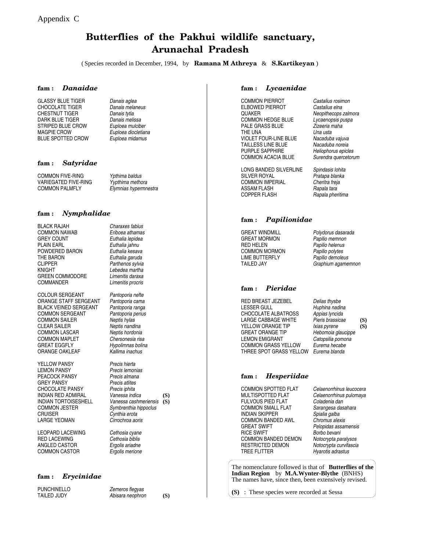## **Butterflies of the Pakhui wildlife sanctuary, Arunachal Pradesh**

( Species recorded in December, 1994, by **Ramana M Athreya** & **S.Kartikeyan** )

#### **fam :** *Danaidae*

GLASSY BLUE TIGER CHOCOLATE TIGER CHESTNUT TIGER DARK BLUE TIGER STRIPED BLUE CROW MAGPIE CROW BLUE SPOTTED CROW

**fam :** *Satyridae*

COMMON PALMFLY COMMON FIVE-RING VARIEGATED FIVE-RING *Euploea midamus*

*Danais aglea Danais melaneus Danais tytia Danais melissa Euploea mulciber Euploea diocletiana*

*Ypthima baldus Yypthima methora Elymnias hypermnestra*

#### **fam :** *Nymphalidae*

BLACK RAJAH COMMON NAWAB GREY COUNT PLAIN EARL POWDERED BARON THE BARON CLIPPER KNIGHT GREEN COMMODORE COMMANDER

COLOUR SERGEANT ORANGE STAFF SERGEANT BLACK VEINED SERGEANT COMMON SERGEANT COMMON SAILER CLEAR SAILER COMMON LASCAR COMMON MAPLET GREAT EGGFLY ORANGE OAKLEAF

YELLOW PANSY **LEMON PANSY** PEACOCK PANSY GREY PANSY CHOCOLATE PANSY INDIAN RED ADMIRAL INDIAN TORTOISESHELL COMMON JESTER **CRUISER** LARGE YEOMAN

LEOPARD LACEWING RED LACEWING ANGLED CASTOR COMMON CASTOR

*Charaxes fabius Eriboea athamas Euthalia lepidea Euthalia jahnu*

*Euthalia kesava Euthalia garuda Parthenos sylvia*

*Lebedea martha Limenitis daraxa Limenitis procris Pantoporia nefte Pantoporia cama Pantoporia ranga Pantoporia perius Neptis hylas Neptis nandina Neptis hordonia Chersonesia risa Hypolimnas bolina Kallima inachus Precis hierta*

*Precis lemonias Precis almana Precis atlites Precis iphita Vanessa indica Vanessa cashmeriensis* **(S)** *Symbrenthia hippoclus Cynthia erota Cirrochroa aoris* **(S)**

#### *Cethosia cyane Cethosia biblis Ergolis ariadne Ergolis merione*

#### **fam :** *Erycinidae*

PUNCHINELLO TAILED JUDY *Zemeros flegyas Abisara neophron*

**(S)**

#### **fam :** *Lycaenidae*

COMMON PIERROT QUAKER COMMON HEDGE BLUE PALE GRASS BLUE THE UNA VIOLET FOUR-LINE BLUE TAILLESS LINE BLUE PURPLE SAPPHIRE COMMON ACACIA BLUE ELBOWED PIERROT *Castalius elna*

LONG BANDED SILVERLINE SILVER ROYAL COMMON IMPERIAL COPPER FLASH ASSAM FLASH *Rapala tara*

#### **fam :** *Papilionidae*

**GREAT WINDMILL** GREAT MORMON RED HELEN COMMON MORMON LIME BUTTERFLY TAILED JAY

#### **fam :** *Pieridae*

RED BREAST JEZEBEL LESSER GULL CHOCOLATE ALBATROSS LARGE CABBAGE WHITE YELLOW ORANGE TIP GREAT ORANGE TIP LEMON EMIGRANT COMMON GRASS YELLOW THREE SPOT GRASS YELLOW *Eurema blanda*

*Delias thysbe Huphina nadina Appias lyncida Pieris brassicae Ixias pyrene Hebomoia glaucippe Catopsilia pomona Eurema hecabe*

#### **fam :** *Hesperiidae*

COMMON SPOTTED FLAT MULTISPOTTED FLAT FULVOUS PIED FLAT COMMON SMALL FLAT INDIAN SKIPPER COMMON BANDED AWL GREAT SWIFT RICE SWIFT COMMON BANDED DEMON RESTRICTED DEMON TREE FLITTER

*Celaenorrhinus leucocera Celaenorrhinus pulomaya Coladenia dan Sarangesa dasahara Spialia galba Chromus alexis Pelopidas assamensis Notocrypta paralysos Notocrypta curvifascia Hyarotis adrastus Borbo bevani*

The nomenclature followed is that of **Butterflies of the Indian Region** by **M.A.Wynter-Blythe** (BNHS) The names have, since then, been extensively revised.

**(S)** : These species were recorded at Sessa

*Castalius rosimon Neopithecops zalmora Lycaenopsis puspa Zizeeria maha Una usta Nacaduba vajuva Nacaduba noreia Heliophorus epicles Surendra quercetorum*

*Spindasis lohita Pratapa blanka Cheritra freja Rapala pheritima*

*Papilio memnon Papilio helenus Papilio polytes Papilio demoleus Graphium agamemnon Polydorus dasarada*

# **(S) (S)**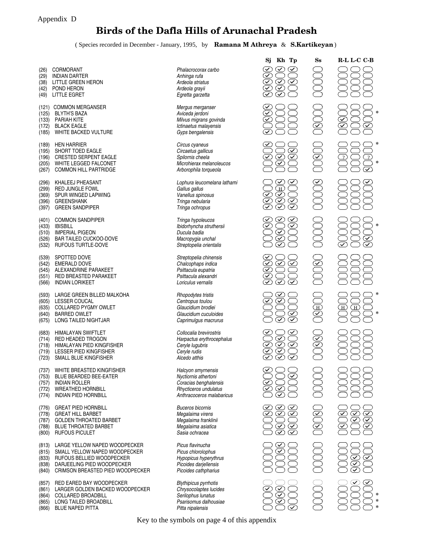## **Birds of the Dafla Hills of Arunachal Pradesh**

( Species recorded in December - January, 1995, by **Ramana M Athreya** & **S.Kartikeyan**)

**\***

**\***

**\***

**\***

**\***

**\***

**\* \* \***

|                                                                                                                                                                                                                                                                                                                                                                                                                                                                                                                                                                                                                                                                                                                                                                                                                                                                                                                                                                                                                                                                                                                                                                                                                                                                                                                                                                                                                                                                                                                                                                                                  |                                                                                                                                                                                                            | $S_{S}$                                             | R-L L-C C-B                                                        |
|--------------------------------------------------------------------------------------------------------------------------------------------------------------------------------------------------------------------------------------------------------------------------------------------------------------------------------------------------------------------------------------------------------------------------------------------------------------------------------------------------------------------------------------------------------------------------------------------------------------------------------------------------------------------------------------------------------------------------------------------------------------------------------------------------------------------------------------------------------------------------------------------------------------------------------------------------------------------------------------------------------------------------------------------------------------------------------------------------------------------------------------------------------------------------------------------------------------------------------------------------------------------------------------------------------------------------------------------------------------------------------------------------------------------------------------------------------------------------------------------------------------------------------------------------------------------------------------------------|------------------------------------------------------------------------------------------------------------------------------------------------------------------------------------------------------------|-----------------------------------------------------|--------------------------------------------------------------------|
| Phalacrocorax carbo<br>Anhinga rufa<br>Ardeola striatus<br>Ardeola grayii<br>Egretta garzetta                                                                                                                                                                                                                                                                                                                                                                                                                                                                                                                                                                                                                                                                                                                                                                                                                                                                                                                                                                                                                                                                                                                                                                                                                                                                                                                                                                                                                                                                                                    | $\overline{\checkmark}$<br>$\overline{\checkmark}$<br>$\overline{\checkmark}$<br>$\odot$<br>$\infty$<br>$\bar{\bm{\mathcal{Q}}}$<br>$\curvearrowright$<br>$\bar\bm\triangledown$                           |                                                     |                                                                    |
| Mergus merganser<br>Aviceda jerdoni<br>Milvus migrans govinda<br>Ictinaetus malayensis<br>Gyps bengalensis                                                                                                                                                                                                                                                                                                                                                                                                                                                                                                                                                                                                                                                                                                                                                                                                                                                                                                                                                                                                                                                                                                                                                                                                                                                                                                                                                                                                                                                                                       | $\overline{\checkmark}$<br>$\overline{\checkmark}$                                                                                                                                                         | $\overline{\mathbb{Z}}$                             | $\blacktriangledown$<br>$\widetilde{\checkmark}$<br>$\varSigma$    |
| Circus cyaneus<br>Circaetus gallicus<br>Spilornis cheela<br>Microhierax melanoleucos<br>Arborophila torqueola                                                                                                                                                                                                                                                                                                                                                                                                                                                                                                                                                                                                                                                                                                                                                                                                                                                                                                                                                                                                                                                                                                                                                                                                                                                                                                                                                                                                                                                                                    | $\bar{\bm{\triangledown}}$<br>$\bigotimes$<br>$\odot$<br>$\blacktriangledown$                                                                                                                              | DSO                                                 | $\mathcal{D}$<br>$\mathcal{P}$<br>$\widehat{\blacktriangledown}$   |
| Lophura leucomelana lathami<br>Gallus gallus<br>Vanellus spinosus<br>Tringa nebularia<br>Tringa ochropus                                                                                                                                                                                                                                                                                                                                                                                                                                                                                                                                                                                                                                                                                                                                                                                                                                                                                                                                                                                                                                                                                                                                                                                                                                                                                                                                                                                                                                                                                         | $\infty$<br>$\bigoplus\limits_{i=1}^{\infty}$<br>$\overline{\checkmark}$<br>$\overline{\mathcal{C}}$<br>$\bigotimes$<br>$\curvearrowright$<br>$\odot$<br>$\overline{\bm{\triangledown}}$                   |                                                     |                                                                    |
| Tringa hypoleucos<br>Ibidorhyncha struthersii<br>Ducula badia<br>Macropygia unchal<br>Streptopelia orientalis                                                                                                                                                                                                                                                                                                                                                                                                                                                                                                                                                                                                                                                                                                                                                                                                                                                                                                                                                                                                                                                                                                                                                                                                                                                                                                                                                                                                                                                                                    | $\infty$<br>$\widetilde{\bm \triangledown}$<br>$\overline{\checkmark}$<br>$\bar{\bm{\mathcal{Q}}}$<br>$\overline{\bm{\mathcal{Z}}}$<br>$\overline{\checkmark}$                                             |                                                     | $\varSigma$<br>$\bar{\bm{\triangledown}}$                          |
| Streptopelia chinensis<br>Chalcophaps indica<br>Psittacula eupatria<br>Psittacula alexandri<br>Loriculus vernalis                                                                                                                                                                                                                                                                                                                                                                                                                                                                                                                                                                                                                                                                                                                                                                                                                                                                                                                                                                                                                                                                                                                                                                                                                                                                                                                                                                                                                                                                                | $\overline{\mathcal{L}}$<br>$\bar{\bm{\odot}}$<br>$\bar{\bm{\odot}}$<br>$\overline{\checkmark}$<br>$\overline{\checkmark}$<br>$\bar\varpi$<br>$\left(\widehat{\mathcal{N}}\right)$<br>$\blacktriangledown$ | $\overline{\!\mathcal{L}}$                          |                                                                    |
| Rhopodytes tristis<br>Centropus toulou<br>Glaucidium brodiei<br>Glaucidium cuculoides<br>Caprimulgus macrurus                                                                                                                                                                                                                                                                                                                                                                                                                                                                                                                                                                                                                                                                                                                                                                                                                                                                                                                                                                                                                                                                                                                                                                                                                                                                                                                                                                                                                                                                                    | $\geq$<br>$\widehat{\mathcal{C}}$<br>$\overline{\checkmark}$<br>$\infty$<br>$\overline{\checkmark}$<br>$\widehat{\checkmark}$                                                                              | DEOC                                                | $\bigoplus$<br>$^\circledR$                                        |
| Collocalia brevirostris<br>Harpactus erythrocephalus<br>Ceryle lugubris<br>Ceryle rudis<br>Alcedo atthis                                                                                                                                                                                                                                                                                                                                                                                                                                                                                                                                                                                                                                                                                                                                                                                                                                                                                                                                                                                                                                                                                                                                                                                                                                                                                                                                                                                                                                                                                         | $\infty$<br>$\bar{\bm{\mathcal{Q}}}$<br>$\bar\heartsuit$<br>$\overline{\checkmark}$<br>$\infty$<br>$\overline{\checkmark}$<br>$\overline{\checkmark}$                                                      | $\widetilde{\mathbb{S}}$                            |                                                                    |
| Halcyon smyrnensis<br>Nyctiornis athertoni<br>Coracias benghalensis<br>Rhycticeros undulatus<br>Anthracoceros malabaricus                                                                                                                                                                                                                                                                                                                                                                                                                                                                                                                                                                                                                                                                                                                                                                                                                                                                                                                                                                                                                                                                                                                                                                                                                                                                                                                                                                                                                                                                        | $\overline{\mathsf{v}}$<br>$\infty$<br>$\overline{\checkmark}$<br>$\overline{\mathcal{L}}$<br>$\blacktriangledown$<br>$\overline{\checkmark}$                                                              |                                                     |                                                                    |
| <b>Buceros bicornis</b><br>Megalaima virens<br>Megalaima franklinii<br>Megalaima asiatica<br>Sasia ochracea                                                                                                                                                                                                                                                                                                                                                                                                                                                                                                                                                                                                                                                                                                                                                                                                                                                                                                                                                                                                                                                                                                                                                                                                                                                                                                                                                                                                                                                                                      | $\geq$<br>$(\checkmark)$<br>$\overline{\mathcal{L}}$<br>$\overline{\checkmark}$<br>$\left( \mathcal{\mathcal{S}}\right)$<br><u>ତି</u><br>⊘<br>$\infty$<br>$\blacktriangledown$                             | $\curvearrowright$<br>$\overline{\bm{\mathcal{Z}}}$ | $\infty$<br>$\infty$<br>$\varpi$<br>$\infty$<br>$\varSigma$        |
| Picus flavinucha<br>Picus chlorolophus<br>Hypopicus hyperythrus<br>Picoides darjellensis<br>Picoides cathpharius                                                                                                                                                                                                                                                                                                                                                                                                                                                                                                                                                                                                                                                                                                                                                                                                                                                                                                                                                                                                                                                                                                                                                                                                                                                                                                                                                                                                                                                                                 | $\checkmark$<br>$\varpi$                                                                                                                                                                                   |                                                     | $\curvearrowright$<br>$(\blacktriangledown)$<br>$\curvearrowright$ |
| <b>Blythipicus pyrrhotis</b><br>Chrysocolaptes lucides<br>Serilophus lunatus<br>Psarisomus dalhousiae<br>Pitta nipalensis                                                                                                                                                                                                                                                                                                                                                                                                                                                                                                                                                                                                                                                                                                                                                                                                                                                                                                                                                                                                                                                                                                                                                                                                                                                                                                                                                                                                                                                                        | $\infty$<br>$\blacktriangledown$<br>$\overline{\mathcal{L}}$<br>$\varpropto$<br>$\blacktriangledown$                                                                                                       |                                                     |                                                                    |
| <b>CORMORANT</b><br><b>INDIAN DARTER</b><br>LITTLE GREEN HERON<br>POND HERON<br><b>LITTLE EGRET</b><br><b>COMMON MERGANSER</b><br><b>BLYTH'S BAZA</b><br>PARIAH KITE<br><b>BLACK EAGLE</b><br>WHITE BACKED VULTURE<br><b>HEN HARRIER</b><br>SHORT TOED EAGLE<br><b>CRESTED SERPENT EAGLE</b><br>WHITE LEGGED FALCONET<br><b>COMMON HILL PARTRIDGE</b><br>KHALEEJ PHEASANT<br><b>RED JUNGLE FOWL</b><br>SPUR WINGED LAPWING<br><b>GREENSHANK</b><br><b>GREEN SANDPIPER</b><br><b>COMMON SANDPIPER</b><br><b>IBISBILL</b><br><b>IMPERIAL PIGEON</b><br>BAR TAILED CUCKOO-DOVE<br>RUFOUS TURTLE-DOVE<br>SPOTTED DOVE<br><b>EMERALD DOVE</b><br>ALEXANDRINE PARAKEET<br>RED BREASTED PARAKEET<br><b>INDIAN LORIKEET</b><br>LARGE GREEN BILLED MALKOHA<br><b>LESSER COUCAL</b><br><b>COLLARED PYGMY OWLET</b><br><b>BARRED OWLET</b><br>LONG TAILED NIGHTJAR<br>HIMALAYAN SWIFTLET<br>RED HEADED TROGON<br>HIMALAYAN PIED KINGFISHER<br>LESSER PIED KINGFISHER<br>SMALL BLUE KINGFISHER<br>WHITE BREASTED KINGFISHER<br>BLUE BEARDED BEE-EATER<br><b>INDIAN ROLLER</b><br><b>WREATHED HORNBILL</b><br><b>INDIAN PIED HORNBILL</b><br><b>GREAT PIED HORNBILL</b><br><b>GREAT HILL BARBET</b><br><b>GOLDEN THROATED BARBET</b><br><b>BLUE THROATED BARBET</b><br><b>RUFOUS PICULET</b><br>LARGE YELLOW NAPED WOODPECKER<br>SMALL YELLOW NAPED WOODPECKER<br>RUFOUS BELLIED WOODPECKER<br>DARJEELING PIED WOODPECKER<br>CRIMSON BREASTED PIED WOODPECKER<br>RED EARED BAY WOODPECKER<br>LARGER GOLDEN BACKED WOODPECKER<br><b>COLLARED BROADBILL</b><br>LONG TAILED BROADBILL<br><b>BLUE NAPED PITTA</b> |                                                                                                                                                                                                            | Kh Tp<br>Sj                                         |                                                                    |

Key to the symbols on page 4 of this appendix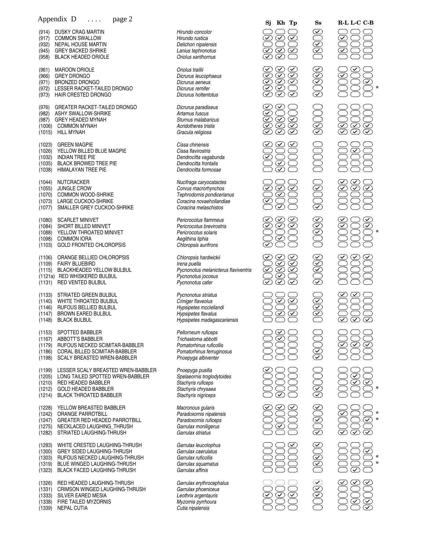|                                      | $\mu$<br>$P^{\mu}S^{\nu}$                                                                                                                                                        |                                                                                                                                    |
|--------------------------------------|----------------------------------------------------------------------------------------------------------------------------------------------------------------------------------|------------------------------------------------------------------------------------------------------------------------------------|
|                                      | (914) DUSKY CRAG MARTIN<br>(917) COMMON SWALLOW<br>(932) NEPAL HOUSE MARTIN<br>(945) GREY BACKED SHRIKE<br>(958) BLACK HEADED ORIOLE                                             | Hirundo concolor<br>Hirundo rustica<br>Delichon nipalensis<br>Lanius tephronotus<br>Oriolus xanthornus                             |
| (961)<br>(966)<br>(972)              | <b>MAROON ORIOLE</b><br>GREY DRONGO<br>(971) BRONZED DRONGO<br>LESSER RACKET-TAILED DRONGO<br>(973) HAIR CRESTED DRONGO                                                          | Oriolus traillii<br>Dicrurus leucophaeus<br>Dicrurus aeneus<br>Dicrurus remifer<br>Dicrurus hottentotus                            |
| (976)                                | GREATER RACKET-TAILED DRONGO<br>(982) ASHY SWALLOW-SHRIKE<br>(987) GREY HEADED MYNAH<br>(1006) COMMON MYNAH<br>$(1015)$ HILL MYNAH                                               | Dicrurus paradiseus<br>Artamus fuscus<br>Sturnus malabaricus<br>Acridotheres tristis<br>Gracula religiosa                          |
|                                      | (1023) GREEN MAGPIE<br>(1026) YELLOW BILLED BLUE MAGPIE<br>(1032) INDIAN TREE PIE<br>(1035) BLACK BROWED TREE PIE<br>(1038) HIMALAYAN TREE PIE                                   | Cissa chinensis<br>Cissa flavirostris<br>Dendrocitta vagabunda<br>Dendrocitta frontalis<br>Dendrocitta formosae                    |
|                                      | (1044) NUTCRACKER<br>(1055) JUNGLE CROW<br>(1070) COMMON WOOD-SHRIKE<br>(1073) LARGE CUCKOO-SHRIKE<br>(1077) SMALLER GREY CUCKOO-SHRIKE                                          | Nucifraga caryocatactes<br>Corvus macrorhynchos<br>Tephrodornis pondicerianus<br>Coracina novaehollandiae<br>Coracina melaschistos |
|                                      | (1080) SCARLET MINIVET<br>(1084) SHORT BILLED MINIVET<br>(1088) YELLOW THROATED MINIVET<br>(1098) COMMON IORA<br>(1103) GOLD FRONTED CHLOROPSIS                                  | Pericrocotus flammeus<br>Pericrocotus brevirostris<br>Pericrocotus solaris<br>Aegithina tiphia<br>Chloropsis aurifrons             |
|                                      | (1106) ORANGE BELLIED CHLOROPSIS<br>(1109) FAIRY BLUEBIRD<br>(1115) BLACKHEADED YELLOW BULBUL<br>(1121a) RED WHISKERED BULBUL<br>(1131) RED VENTED BULBUL                        | Chloropsis hardwickii<br>Irena puella<br>Pycnonotus melanicterus flaviventri<br>Pycnonotus jocosus<br>Pycnonotus cafer             |
|                                      | (1133) STRIATED GREEN BULBUL<br>(1140) WHITE THROATED BULBUL<br>(1146) RUFOUS BELLIED BULBUL<br>(1147) BROWN EARED BULBUL<br>(1148) BLACK BULBUL                                 | Pycnonotus striatus<br>Criniger flaveolus<br>Hypsipetes mcclellandi<br>Hypsipetes flavalus<br>Hypsipetes madagascariensis          |
| (1167)<br>(1198)                     | (1153) SPOTTED BABBLER<br>ABBOTT'S BABBLER<br>(1179) RUFOUS NECKED SCIMITAR-BABBLER<br>(1186) CORAL BILLED SCIMITAR-BABBLER<br><b>SCALY BREASTED WREN-BABBLER</b>                | Pellorneum ruficeps<br>Trichastoma abbotti<br>Pomatorhinus ruficollis<br>Pomatorhinus ferruginosus<br>Pnoepyga albiventer          |
|                                      | (1199) LESSER SCALY BREASTED WREN-BABBLER<br>(1205) LONG TAILED SPOTTED WREN-BABBLER<br>(1210) RED HEADED BABBLER<br>(1212) GOLD HEADED BABBLER<br>(1214) BLACK THROATED BABBLER | Pnoepyga pusilla<br>Spelaeornis troglodytoides<br>Stachyris ruficeps<br>Stachyris chrysaea<br>Stachyris nigriceps                  |
| (1282)                               | (1228) YELLOW BREASTED BABBLER<br>(1242) ORANGE PARROTBILL<br>(1247) GREATER RED HEADED PARROTBILL<br>(1275) NECKLACED LAUGHING_THRUSH<br>STRIATED LAUGHING-THRUSH               | Macronous gularis<br>Paradoxornis nipalensis<br>Paradoxornis ruficeps<br>Garrulax moniligerus<br>Garrulax striatus                 |
| (1283)<br>(1300)<br>(1323)           | WHITE CRESTED LAUGHING-THRUSH<br>GREY SIDED LAUGHING-THRUSH<br>(1303) RUFOUS NECKED LAUGHING-THRUSH<br>(1319) BLUE WINGED LAUGHING-THRUSH<br>BLACK FACED LAUGHING-THRUSH         | Garrulax leucolophus<br>Garrulax caerulatus<br>Garrulax ruficollis<br>Garrulax squamatus<br>Garrulax affinis                       |
| (1326)<br>(1331)<br>(1338)<br>(1339) | RED HEADED LAUGHING-THRUSH<br>CRIMSON WINGED LAUGHING-THRUSH<br>(1333) SILVER EARED MESIA<br>FIRE TAILED MYZORNIS<br>NEPAL CUTIA                                                 | Garrulax erythrocephalus<br>Garrulax phoeniceus<br>Leothrix argentauris<br>Myzornis pyrrhoura<br>Cutia nipalensis                  |

|                                                | Appendix D<br>page 2                                                                                                                                                     |                                                                                                                                    | Kh Tp<br>Sj                                                                                                                                                                                                                                                          | $S_{S}$                                        | R-L L-C C-B                                        |
|------------------------------------------------|--------------------------------------------------------------------------------------------------------------------------------------------------------------------------|------------------------------------------------------------------------------------------------------------------------------------|----------------------------------------------------------------------------------------------------------------------------------------------------------------------------------------------------------------------------------------------------------------------|------------------------------------------------|----------------------------------------------------|
| (914)<br>(917)<br>(932)<br>(945)<br>(958)      | <b>DUSKY CRAG MARTIN</b><br><b>COMMON SWALLOW</b><br><b>NEPAL HOUSE MARTIN</b><br><b>GREY BACKED SHRIKE</b><br><b>BLACK HEADED ORIOLE</b>                                | Hirundo concolor<br>Hirundo rustica<br>Delichon nipalensis<br>Lanius tephronotus<br>Oriolus xanthornus                             | ✓<br>$\blacktriangledown$<br>$\left\langle \mathcal{S}\right\rangle$<br>$\blacktriangledown$<br>$\varSigma$<br>$\checkmark$                                                                                                                                          | $\widetilde{\leq}$<br>$\widetilde{\mathbb{C}}$ | $\checkmark$                                       |
| (961)<br>(966)<br>(971)<br>(972)<br>(973)      | <b>MAROON ORIOLE</b><br><b>GREY DRONGO</b><br>BRONZED DRONGO<br>LESSER RACKET-TAILED DRONGO<br>HAIR CRESTED DRONGO                                                       | Oriolus traillii<br>Dicrurus leucophaeus<br>Dicrurus aeneus<br>Dicrurus remifer<br>Dicrurus hottentotus                            | $\checkmark$<br>$\checkmark$<br>$\infty$<br>$\frac{1}{2}$<br>$\overline{\mathcal{L}}$<br>$\odot$<br>$\bar{\bm{\triangledown}}$<br>$\odot$<br>$\frac{1}{\sqrt{2}}$<br>$\overline{\mathcal{L}}$<br>$\overline{\checkmark}$<br>$\overline{\checkmark}$                  | 30666                                          | $\blacktriangledown$                               |
| (976)<br>(982)<br>(987)<br>(1006)<br>(1015)    | GREATER RACKET-TAILED DRONGO<br>ASHY SWALLOW-SHRIKE<br>GREY HEADED MYNAH<br><b>COMMON MYNAH</b><br><b>HILL MYNAH</b>                                                     | Dicrurus paradiseus<br>Artamus fuscus<br>Sturnus malabaricus<br>Acridotheres tristis<br>Gracula religiosa                          | $\checkmark$<br>$\overline{\checkmark}$<br>$\overline{\checkmark}$<br>$\bigcirc$<br>$\circledcirc$<br>$\overline{\vee}$<br>$\overline{\mathcal{L}}$<br>$\infty$<br>$\overline{\checkmark}$                                                                           | 330)<br>83                                     | $\overline{\mathcal{L}}$<br>$\bigotimes$<br>SS     |
| (1023)<br>(1026)<br>(1032)<br>(1035)<br>(1038) | <b>GREEN MAGPIE</b><br>YELLOW BILLED BLUE MAGPIE<br><b>INDIAN TREE PIE</b><br><b>BLACK BROWED TREE PIE</b><br>HIMALAYAN TREE PIE                                         | Cissa chinensis<br>Cissa flavirostris<br>Dendrocitta vagabunda<br>Dendrocitta frontalis<br>Dendrocitta formosae                    | $\checkmark$<br>$\blacktriangledown$<br>$\overline{\checkmark}$<br>$\blacktriangledown$                                                                                                                                                                              |                                                | $\blacktriangledown$                               |
| (1044)<br>(1055)<br>(1070)<br>(1073)<br>(1077) | <b>NUTCRACKER</b><br><b>JUNGLE CROW</b><br><b>COMMON WOOD-SHRIKE</b><br>LARGE CUCKOO-SHRIKE<br>SMALLER GREY CUCKOO-SHRIKE                                                | Nucifraga caryocatactes<br>Corvus macrorhynchos<br>Tephrodornis pondicerianus<br>Coracina novaehollandiae<br>Coracina melaschistos | $\overline{\checkmark}$<br>$\bigcirc$<br>$\bm{\nabla}$<br>$\overline{\checkmark}$<br>$\overline{\checkmark}$                                                                                                                                                         | VO)                                            | $\vee$<br>$\curvearrowright$<br>$\checkmark$       |
| (1080)<br>(1084)<br>(1088)<br>(1098)<br>(1103) | <b>SCARLET MINIVET</b><br>SHORT BILLED MINIVET<br>YELLOW THROATED MINIVET<br><b>COMMON IORA</b><br><b>GOLD FRONTED CHLOROPSIS</b>                                        | Pericrocotus flammeus<br>Pericrocotus brevirostris<br>Pericrocotus solaris<br>Aegithina tiphia<br>Chloropsis aurifrons             | $(\checkmark)$<br>$\blacktriangledown$<br>$\overline{\checkmark}$<br>$\varpi$<br>$\varpi$                                                                                                                                                                            | 0666                                           | $\blacktriangledown$                               |
| (1106)<br>(1109)<br>(1115)<br>(1131)           | ORANGE BELLIED CHLOROPSIS<br><b>FAIRY BLUEBIRD</b><br>BLACKHEADED YELLOW BULBUL<br>(1121a) RED WHISKERED BULBUL<br>RED VENTED BULBUL                                     | Chloropsis hardwickii<br>Irena puella<br>Pycnonotus melanicterus flaviventris<br>Pycnonotus jocosus<br>Pycnonotus cafer            | $\infty$<br>$\bar{\bm{\triangledown}}$<br>$\overline{\mathcal{L}}$<br>$\overline{\checkmark}$<br>$\overline{\bm{\mathcal{D}}}$<br>$\bar{\bm{\mathcal{Q}}}$<br>$\overline{\mathcal{L}}$<br>$\overline{\checkmark}$<br>$\overline{\checkmark}$<br>$\blacktriangledown$ | 3066K                                          |                                                    |
| (1133)<br>(1140)<br>(1146)<br>(1147)<br>(1148) | STRIATED GREEN BULBUL<br>WHITE THROATED BULBUL<br>RUFOUS BELLIED BULBUL<br><b>BROWN EARED BULBUL</b><br><b>BLACK BULBUL</b>                                              | Pycnonotus striatus<br>Criniger flaveolus<br>Hypsipetes mcclellandi<br>Hypsipetes flavalus<br>Hypsipetes madagascariensis          | $\bm{\nabla}$<br>$\blacktriangledown$                                                                                                                                                                                                                                | <u>ସପ୍</u>                                     | $\widehat{\checkmark}$                             |
| (1153)<br>(1167)<br>(1179)<br>(1186)<br>(1198) | SPOTTED BABBLER<br>ABBOTT'S BABBLER<br>RUFOUS NECKED SCIMITAR-BABBLER<br>CORAL BILLED SCIMITAR-BABBLER<br>SCALY BREASTED WREN-BABBLER                                    | Pellorneum ruficeps<br>Trichastoma abbotti<br>Pomatorhinus ruficollis<br>Pomatorhinus ferruginosus<br>Pnoepyga albiventer          | ⊻<br>$\blacktriangledown$                                                                                                                                                                                                                                            | <u>ଟ</u>                                       | $\checkmark$<br>$\blacktriangledown$               |
| (1199)<br>(1205)<br>(1210)<br>(1212)<br>(1214) | LESSER SCALY BREASTED WREN-BABBLER<br>LONG TAILED SPOTTED WREN-BABBLER<br>RED HEADED BABBLER<br><b>GOLD HEADED BABBLER</b><br><b>BLACK THROATED BABBLER</b>              | Pnoepyga pusilla<br>Spelaeornis troglodytoides<br>Stachyris ruficeps<br>Stachyris chrysaea<br>Stachyris nigriceps                  |                                                                                                                                                                                                                                                                      | $\widetilde{\mathbb{C}}$                       | ✓<br>$\overline{\checkmark}$<br>$\curvearrowright$ |
| (1228)<br>(1242)<br>(1247)<br>(1275)<br>(1282) | YELLOW BREASTED BABBLER<br>ORANGE PARROTBILL<br><b>GREATER RED HEADED PARROTBILL</b><br>NECKLACED LAUGHING_THRUSH<br>STRIATED LAUGHING-THRUSH                            | Macronous gularis<br>Paradoxornis nipalensis<br>Paradoxornis ruficeps<br>Garrulax moniligerus<br>Garrulax striatus                 | $\checkmark$                                                                                                                                                                                                                                                         | $\widetilde{\leq}$<br>ସେ                       | $\blacktriangledown$<br>$\blacktriangledown$       |
| (1283)<br>(1300)<br>(1303)<br>(1319)<br>(1323) | WHITE CRESTED LAUGHING-THRUSH<br><b>GREY SIDED LAUGHING-THRUSH</b><br>RUFOUS NECKED LAUGHING-THRUSH<br>BLUE WINGED LAUGHING-THRUSH<br><b>BLACK FACED LAUGHING-THRUSH</b> | Garrulax leucolophus<br>Garrulax caerulatus<br>Garrulax ruficollis<br>Garrulax squamatus<br>Garrulax affinis                       |                                                                                                                                                                                                                                                                      | $\widetilde{\mathbb{Q}}$                       | $\blacktriangledown$                               |
| (1326)<br>(1331)<br>(1333)<br>(1338)<br>(1339) | RED HEADED LAUGHING-THRUSH<br>CRIMSON WINGED LAUGHING-THRUSH<br>SILVER EARED MESIA<br>FIRE TAILED MYZORNIS<br><b>NEPAL CUTIA</b>                                         | Garrulax erythrocephalus<br>Garrulax phoeniceus<br>Leothrix argentauris<br>Myzornis pyrrhoura<br>Cutia nipalensis                  | $\blacktriangledown$<br>$\infty$                                                                                                                                                                                                                                     | $\widetilde{\leq}$<br>$\overline{\checkmark}$  | $\varpropto$                                       |

**\* \***

**\* \***

**\***

**\***

**\***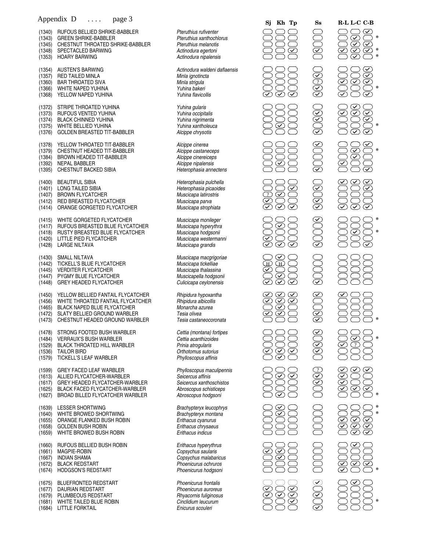|                                                | Appendix D<br>page 3                                                                                                                                                    |                                                                                                                             | Kh Tp<br>Sj                                                                                                                                                             | $S_{S}$                                   | R-L L-C C-B                                                                                                         |
|------------------------------------------------|-------------------------------------------------------------------------------------------------------------------------------------------------------------------------|-----------------------------------------------------------------------------------------------------------------------------|-------------------------------------------------------------------------------------------------------------------------------------------------------------------------|-------------------------------------------|---------------------------------------------------------------------------------------------------------------------|
| (1340)<br>(1343)<br>(1345)<br>(1348)<br>(1353) | RUFOUS BELLIED SHRIKE-BABBLER<br><b>GREEN SHRIKE-BABBLER</b><br>CHESTNUT THROATED SHRIKE-BABBLER<br>SPECTACLED BARWING<br><b>HOARY BARWING</b>                          | Pteruthius rufiventer<br>Pteruthius xanthochlorus<br>Pteruthius melanotis<br>Actinodura egertoni<br>Actinodura nipalensis   | ✓                                                                                                                                                                       | $\widetilde{\leq}$                        | $(\checkmark)$<br>$\overline{\infty}$<br>$\overline{\mathcal{L}}$<br>$\infty$<br>✓                                  |
| (1354)<br>(1357)<br>(1360)<br>(1366)<br>(1368) | <b>AUSTEN'S BARWING</b><br><b>RED TAILED MINLA</b><br><b>BAR THROATED SIVA</b><br>WHITE NAPED YUHINA<br>YELLOW NAPED YUHINA                                             | Actinodura waldeni daflaensis<br>Minla ignotincta<br>Minla strigula<br>Yuhina bakeri<br>Yuhina flavicollis                  |                                                                                                                                                                         | $\Theta$ $\Theta$ $\Theta$                | ✓<br>$\overline{\triangledown}$<br>$\overline{\mathcal{C}}$<br>$\mathbf{\Omega}$<br>$\varpi$                        |
| (1372)<br>(1373)<br>(1374)<br>(1375)<br>(1376) | STRIPE THROATED YUHINA<br>RUFOUS VENTED YUHINA<br><b>BLACK CHINNED YUHINA</b><br>WHITE BELLIED YUHINA<br>GOLDEN BREASTED TIT-BABBLER                                    | Yuhina gularis<br>Yuhina occipitalis<br>Yuhina nigrimenta<br>Yuhina xantholeuca<br>Alcippe chrysotis                        | $\checkmark$                                                                                                                                                            | $\widehat{O}$ $\widehat{O}$ $\widehat{O}$ | $\checkmark$<br>$\overline{\mathcal{L}}$<br>$\overline{\checkmark}$<br>$\overline{\mathcal{L}}$                     |
| (1378)<br>(1379)<br>(1384)<br>(1392)<br>(1395) | YELLOW THROATED TIT-BABBLER<br>CHESTNUT HEADED TIT-BABBLER<br>BROWN HEADED TIT-BABBLER<br><b>NEPAL BABBLER</b><br>CHESTNUT BACKED SIBIA                                 | Alcippe cinerea<br>Alcippe castaneceps<br>Alcippe cinereiceps<br>Alcippe nipalensis<br>Heterophasia annectens               | $\sqrt{}$                                                                                                                                                               | $\frac{1}{2}$                             | $\blacktriangledown$<br>$\bm{\mathcal{T}}$<br>$\overline{\bm{\mathsf{v}}}$<br>$\mathcal{S}$<br>$\blacktriangledown$ |
| (1400)<br>(1401)<br>(1407)<br>(1412)<br>(1414) | <b>BEAUTIFUL SIBIA</b><br>LONG TAILED SIBIA<br><b>BROWN FLYCATCHER</b><br>RED BREASTED FLYCATCHER<br>ORANGE GORGETED FLYCATCHER                                         | Heterophasia pulchella<br>Heterophasia picaoides<br>Muscicapa latirostris<br>Muscicapa parva<br>Muscicapa strophiata        | ✓<br>$\overline{?}$<br>$\curvearrowright$<br>$\overline{\checkmark}$<br>$\overline{\checkmark}$<br>✓                                                                    | $\bigotimes$                              | $\blacktriangledown$<br>✓<br>$\overline{\checkmark}$<br>$\overline{\checkmark}$<br>$\blacktriangledown$             |
| (1415)<br>(1417)<br>(1418)<br>(1420)<br>(1428) | WHITE GORGETED FLYCATCHER<br>RUFOUS BREASTED BLUE FLYCATCHER<br>RUSTY BREASTED BLUE FLYCATCHER<br>LITTLE PIED FLYCATCHER<br><b>LARGE NILTAVA</b>                        | Muscicapa monileger<br>Muscicapa hyperythra<br>Muscicapa hodgsonii<br>Muscicapa westermanni<br>Muscicapa grandis            | $\blacktriangledown$<br>$\overline{\checkmark}$<br>$\bar{\checkmark}$                                                                                                   | $\cong$<br>K II V                         | $\rm \subset$                                                                                                       |
| (1430)<br>(1442)<br>(1445)<br>(1447)<br>(1448) | SMALL NILTAVA<br>TICKELL'S BLUE FLYCATCHER<br><b>VERDITER FLYCATCHER</b><br>PYGMY BLUE FLYCATCHER<br><b>GREY HEADED FLYCATCHER</b>                                      | Muscicapa macgrigoriae<br>Muscicapa tickelliae<br>Muscicapa thalassina<br>Muscicapella hodgsonii<br>Culicicapa ceylonensis  | $\checkmark$<br>$\bar{\overline{\mathbb{E}}}$<br>$\mathbb{H}$<br>$\overline{\mathcal{L}}$<br>$\blacktriangledown$<br>$\overline{\checkmark}$<br>$\overline{\checkmark}$ | $\frac{1}{2}$                             |                                                                                                                     |
| (1450)<br>(1456)<br>(1465)<br>(1472)<br>(1473) | YELLOW BELLIED FANTAIL FLYCATCHER<br>WHITE THROATED FANTAIL FLYCATCHER<br>BLACK NAPED BLUE FLYCATCHER<br>SLATY BELLIED GROUND WARBLER<br>CHESTNUT HEADED GROUND WARBLER | Rhipidura hypoxantha<br>Rhipidura albicollis<br>Monarcha azurea<br>Tesia olivea<br>Tesia castaneocoronata                   | ⊻<br>$\checkmark$<br>$\widetilde{\blacktriangledown}$<br>$\widehat{\checkmark}$<br>$\overline{\checkmark}$<br>$\widehat{\checkmark}$<br>✓<br>$\bar{\checkmark}$         | $\equiv$<br>$\widetilde{\mathbb{Z}}$      |                                                                                                                     |
| (1478)<br>(1484)<br>(1529)<br>(1536)<br>(1579) | STRONG FOOTED BUSH WARBLER<br>VERRAUX'S BUSH WARBLER<br><b>BLACK THROATED HILL WARBLER</b><br><b>TAILOR BIRD</b><br>TICKELL'S LEAF WARBLER                              | Cettia (montana) fortipes<br>Cettia acanthizoides<br>Prinia atrogularis<br>Orthotomus sutorius<br>Phylloscopus affinis      | $\mathcal{S}$<br>✓                                                                                                                                                      | $\otimes$<br>KK                           | $\blacktriangledown$<br>$\overline{?}$                                                                              |
| (1599)<br>(1613)<br>(1617)<br>(1625)<br>(1627) | <b>GREY FACED LEAF WARBLER</b><br>ALLIED FLYCATCHER-WARBLER<br>GREY HEADED FLYCATCHER-WARBLER<br>BLACK FACED FLYCATCHER-WARBLER<br>BROAD BILLED FLYCATCHER WARBLER      | Phylloscopus maculipennis<br>Seicercus affinis<br>Seicercus xanthoschistos<br>Abroscopus schisticeps<br>Abroscopus hodgsoni | $\checkmark$<br>✓                                                                                                                                                       | $\widetilde{K}$                           | $\checkmark$<br>$\checkmark$<br>$\checkmark$                                                                        |
| (1639)<br>(1640)<br>(1655)<br>(1658)<br>(1659) | <b>LESSER SHORTWING</b><br>WHITE BROWED SHORTWING<br>ORANGE FLANKED BUSH ROBIN<br><b>GOLDEN BUSH ROBIN</b><br>WHITE BROWED BUSH ROBIN                                   | <b>Brachypteryx leucophrys</b><br>Brachypteryx montana<br>Erithacus cyanurus<br>Erithacus chrysaeus<br>Erithacus indicus    | ✓<br>✓                                                                                                                                                                  |                                           | $\rm \sigma$<br>✓<br>$\checkmark$<br>$\overline{\mathcal{L}}$<br>$\bm{\triangledown}$                               |
| (1660)<br>(1661)<br>(1667)<br>(1672)<br>(1674) | RUFOUS BELLIED BUSH ROBIN<br>MAGPIE-ROBIN<br><b>INDIAN SHAMA</b><br><b>BLACK REDSTART</b><br><b>HODGSON'S REDSTART</b>                                                  | Erithacus hyperythrus<br>Copsychus saularis<br>Copsychus malabaricus<br>Phoenicurus ochruros<br>Phoenicurus hodgsoni        | ✓<br>$\checkmark$<br>$\widehat{\checkmark}$                                                                                                                             |                                           | $\checkmark$<br>✓                                                                                                   |
| (1675)<br>(1677)<br>(1679)<br>(1681)           | <b>BLUEFRONTED REDSTART</b><br>DAURIAN REDSTART<br>PLUMBEOUS REDSTART<br>WHITE TAILED BLUE ROBIN                                                                        | Phoenicurus frontalis<br>Phoenicurus auroreus<br>Rhyacornis fuliginosus<br>Cinclidium leucurum                              | ▽<br>✓<br>$\mathcal{S}$<br>$\infty$                                                                                                                                     | $\overline{\subseteq}$                    |                                                                                                                     |

| Pteruthius rufiventer<br>Pteruthius xanthochlorus<br>Pteruthius melanotis<br>Actinodura egertoni<br>Actinodura nipalensis   |
|-----------------------------------------------------------------------------------------------------------------------------|
| Actinodura waldeni daflaensis<br>Minla ignotincta<br>Minla strigula<br>Yuhina bakeri<br>Yuhina flavicollis                  |
| Yuhina gularis<br>Yuhina occipitalis<br>Yuhina nigrimenta<br>Yuhina xantholeuca<br>Alcippe chrysotis                        |
| Alcippe cinerea<br>Alcippe castaneceps<br>Alcippe cinereiceps<br>Alcippe nipalensis<br>Heterophasia annectens               |
| Heterophasia pulchella<br>Heterophasia picaoides<br>Muscicapa latirostris<br>Muscicapa parva<br>Muscicapa strophiata        |
| Muscicapa monileger<br>Muscicapa hyperythra<br>Muscicapa hodgsonii<br>Muscicapa westermanni<br>Muscicapa grandis            |
| Muscicapa macgrigoriae<br>Muscicapa tickelliae<br>Muscicapa thalassina<br>Muscicapella hodgsonii<br>Culicicapa ceylonensis  |
| Rhipidura hypoxantha<br>Rhipidura albicollis<br>Monarcha azurea<br>Tesia olivea<br>Tesia castaneocoronata                   |
| Cettia (montana) fortipes<br>Cettia acanthizoides<br>Prinia atrogularis<br>Orthotomus sutorius<br>Phylloscopus affinis      |
| Phylloscopus maculipennis<br>Seicercus affinis<br>Seicercus xanthoschistos<br>Abroscopus schisticeps<br>Abroscopus hodgsoni |
| Brachypteryx leucophrys<br>Brachypteryx montana<br>Erithacus cyanurus<br>Erithacus chrysaeus<br>Erithacus indicus           |
| Erithacus hyperythrus<br>Copsychus saularis<br>Copsychus malabaricus<br>Phoenicurus ochruros<br>Phoenicurus hodgsoni        |
| Phoenicurus frontalis<br>Phoenicurus auroreus<br>Rhyacornis fuliginosus<br>Cinclidium leucurum<br>Enicurus scouleri         |

|  | $\overset{\textbf{ss}}{\bigcirc}$ |
|--|-----------------------------------|
|  |                                   |
|  |                                   |
|  |                                   |
|  |                                   |
|  |                                   |
|  |                                   |
|  |                                   |
|  | NQQN                              |
|  |                                   |
|  |                                   |
|  | 90806 0000 0000 90808             |
|  |                                   |

**\***

**\***

**\* \***

**\***

**\***

**\***

**\* \***

**\***

**\***

**\***

**\* \* \***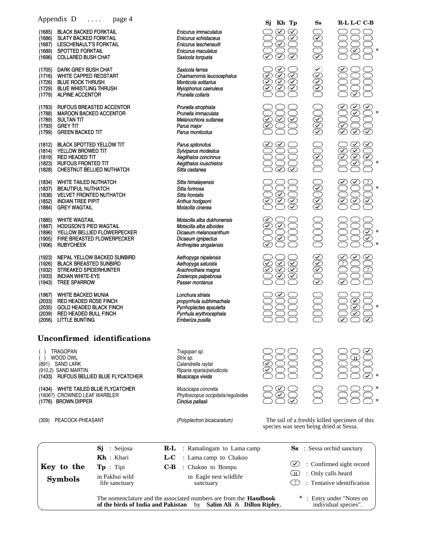|                                                | Appendix D                                                                                                                                     | page 4                                                    |                                                                                                       |                                                                                                                                                 | Sj                                                                                                                          | Kh Tp                                                                   | $S_{S}$                                       | R-L L-C C-B                                                                             |
|------------------------------------------------|------------------------------------------------------------------------------------------------------------------------------------------------|-----------------------------------------------------------|-------------------------------------------------------------------------------------------------------|-------------------------------------------------------------------------------------------------------------------------------------------------|-----------------------------------------------------------------------------------------------------------------------------|-------------------------------------------------------------------------|-----------------------------------------------|-----------------------------------------------------------------------------------------|
| (1685)<br>(1686)<br>(1687)<br>(1689)<br>(1696) | <b>BLACK BACKED FORKTAIL</b><br><b>SLATY BACKED FORKTAIL</b><br>LESCHENAULT'S FORKTAIL<br><b>SPOTTED FORKTAIL</b><br><b>COLLARED BUSH CHAT</b> |                                                           |                                                                                                       | Enicurus immaculatus<br>Enicurus schistaceus<br>Enicurus leschenaulti<br>Enicurus maculatus<br>Saxicola torquata                                | $\checkmark$<br>$\overline{\mathcal{C}}$<br>$\bar{\infty}$                                                                  | $\blacktriangledown$<br>$\varpi$<br>$\left(\widehat{\mathbf{v}}\right)$ | SUUS                                          | $\infty$<br>∗                                                                           |
| (1705)<br>(1716)<br>(1726)<br>(1729)<br>(1779) | DARK GREY BUSH CHAT<br><b>WHITE CAPPED REDSTART</b><br><b>BLUE ROCK THRUSH</b><br><b>BLUE WHISTLING THRUSH</b><br><b>ALPINE ACCENTOR</b>       |                                                           |                                                                                                       | Saxicola ferrea<br>Chaimarrornis leucocephalus<br>Monticola solitarius<br>Myiophonus caeruleus<br>Prunella collaris                             | $\blacktriangledown$<br>$\bar\heartsuit$<br>$\widehat{\checkmark}$<br>S<br>$\overline{\mathcal{L}}$<br>$\blacktriangledown$ | $\circledS$                                                             | 06666                                         |                                                                                         |
| (1783)<br>(1788)<br>(1789)<br>(1793)<br>(1799) | <b>MAROON BACKED ACCENTOR</b><br><b>SULTAN TIT</b><br><b>GREY TIT</b><br><b>GREEN BACKED TIT</b>                                               | RUFOUS BREASTED ACCENTOR                                  |                                                                                                       | Prunella strophiata<br>Prunella immaculata<br>Melanochlora sultanea<br>Parus major<br>Parus monticolus                                          | $\circledcirc$<br>$\left( \blacktriangledown \right)$                                                                       | $\odot$                                                                 | <b>66600</b>                                  | $\bigotimes$<br>$\widetilde{\widetilde{\varsigma}}$<br>$\widetilde{\blacktriangledown}$ |
| (1812)<br>(1814)<br>(1819)<br>(1823)<br>(1828) | BLACK SPOTTED YELLOW TIT<br>YELLOW BROWED TIT<br>RED HEADED TIT<br><b>RUFOUS FRONTED TIT</b>                                                   | CHESTNUT BELLIED NUTHATCH                                 |                                                                                                       | Parus spilonotus<br>Sylviparus modestus<br>Aegithalos concinnus<br>Aegithalos iouschistos<br>Sitta castanea                                     | $\widetilde{\blacktriangledown}$                                                                                            | $\widetilde{\blacktriangledown}$                                        | JUSUL                                         | 000000<br>$\widetilde{\mathbb{C}}$<br>$\overline{\mathcal{C}}$<br>∗                     |
| (1834)<br>(1837)<br>(1838)<br>(1852)<br>(1884) | <b>WHITE TAILED NUTHATCH</b><br><b>BEAUTIFUL NUTHATCH</b><br><b>VELVET FRONTED NUTHATCH</b><br><b>INDIAN TREE PIPIT</b><br><b>GREY WAGTAIL</b> |                                                           |                                                                                                       | Sitta himalayensis<br>Sitta formosa<br>Sitta frontalis<br>Anthus hodgsoni<br>Motacilla cinerea                                                  | SQ                                                                                                                          | - 1<br>T                                                                | <b>88080</b>                                  | $\bar{\mathfrak{D}}$<br>$\curvearrowright$<br>$\overline{\mathsf{v}}$                   |
| (1885)<br>(1887)<br>(1896)<br>(1905)<br>(1906) | <b>WHITE WAGTAIL</b><br><b>HODGSON'S PIED WAGTAIL</b><br><b>RUBYCHEEK</b>                                                                      | YELLOW BELLIED FLOWERPECKER<br>FIRE BREASTED FLOWERPECKER |                                                                                                       | Motacilla alba dukhunensis<br>Motacilla alba alboides<br>Dicaeum melanoxanthum<br>Dicaeum ignipectus<br>Anthreptes singalensis                  | $\bar{\bm{\mathcal{\in}}}$<br>$\blacktriangledown$<br>$\bar{\underline{\underline{\boldsymbol{\zeta}}}}$                    |                                                                         |                                               | $\infty$<br>$\overline{\checkmark}$                                                     |
| (1923)<br>(1926)<br>(1932)<br>(1933)<br>(1943) | <b>BLACK BREASTED SUNBIRD</b><br>STREAKED SPIDERHUNTER<br><b>INDIAN WHITE-EYE</b><br><b>TREE SPARROW</b>                                       | NEPAL YELLOW BACKED SUNBIRD                               |                                                                                                       | Aethopyga nipalensis<br>Aethopyga saturata<br>Arachnothera magna<br>Zosterops palpebrosa<br>Passer montanus                                     | <b><br/>669</b><br>$\blacktriangledown$<br>$\widehat{\checkmark}$                                                           | S<br>$\bar{\bm{\mathcal{\omega}}}$                                      | $\bigcirc$ 0808                               | $\overline{2}$                                                                          |
| (1967)<br>(2033)<br>(2035)<br>(2039)<br>(2056) | <b>WHITE BACKED MUNIA</b><br>RED HEADED ROSE FINCH<br><b>GOLD HEADED BLACK FINCH</b><br>RED HEADED BULL FINCH<br><b>LITTLE BUNTING</b>         |                                                           |                                                                                                       | Lonchura striata<br>propyrrhula subhimachala<br>Pyrrhoplectes epauletta<br>Pyrrhula erythrocephala<br>Emberiza pusilla                          |                                                                                                                             |                                                                         | $\frac{1}{2}$                                 | <u>ତି</u><br>*<br>$\overline{\mathcal{I}}$<br>$\blacktriangledown$                      |
|                                                |                                                                                                                                                | <b>Unconfirmed</b> identifications                        |                                                                                                       |                                                                                                                                                 |                                                                                                                             |                                                                         |                                               |                                                                                         |
|                                                | <b>TRAGOPAN</b><br>WOOD OWL<br>(891) SAND LARK<br>(910,2) SAND MARTIN                                                                          | (1433) RUFOUS BELLIED BLUE FLYCATCHER                     |                                                                                                       | Tragopan sp.<br>Strix sp.<br>Calandrella raytal<br>Riparia riparia/paludicola<br>Muscicapa vivida                                               |                                                                                                                             |                                                                         |                                               | H                                                                                       |
|                                                | (1606?) CROWNED LEAF WARBLER<br>(1776) BROWN DIPPER                                                                                            | (1434) WHITE TAILED BLUE FLYCATCHER                       |                                                                                                       | Muscicapa concreta<br>Phylloscopus occipitalis/reguloides<br>Cinclus pallasii                                                                   |                                                                                                                             |                                                                         |                                               |                                                                                         |
| PEACOCK-PHEASANT<br>(309)                      |                                                                                                                                                |                                                           | (Polyplectron bicalcaratum)                                                                           |                                                                                                                                                 |                                                                                                                             | species was seen being dried at Sessa.                                  | The tail of a freshly killed specimen of this |                                                                                         |
|                                                | Key to the                                                                                                                                     | : Seijosa<br>Sj<br>$Kh$ : Khari<br>$\mathbf{Tp}$ : Tipi   | $R-L$<br>L-C<br>C-B                                                                                   | : Ramalingam to Lama camp<br>: Lama camp to Chakoo<br>: Chakoo to Bompu                                                                         |                                                                                                                             | $\bf \infty$                                                            | <b>Ss</b> : Sessa orchid sanctury             | : Confirmed sight record                                                                |
|                                                | <b>Symbols</b>                                                                                                                                 | in Pakhui wild<br>life sanctuary                          | Œ<br>: Only calls heard<br>in Eagle nest wildlife<br>: Tentative identification<br>( ? )<br>sanctuary |                                                                                                                                                 |                                                                                                                             |                                                                         |                                               |                                                                                         |
|                                                |                                                                                                                                                |                                                           |                                                                                                       | The nomenclature and the associated numbers are from the <b>Handbook</b><br>of the birds of India and Pakistan by Salim Ali $\&$ Dillon Ripley. |                                                                                                                             |                                                                         |                                               | * : Entry under "Notes on<br>individual species".                                       |

by **Salim Ali** & **Dillon Ripley.**

**of the birds of India and Pakistan**

Appendix D ... . page 4

individual species".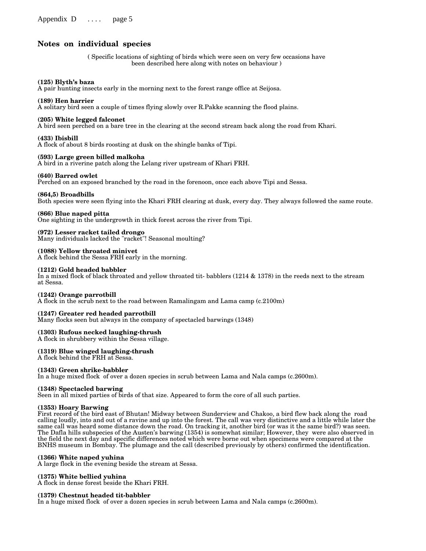#### **Notes on individual species**

( Specific locations of sighting of birds which were seen on very few occasions have been described here along with notes on behaviour )

#### **(125) Blyth's baza**

A pair hunting insects early in the morning next to the forest range office at Seijosa.

#### **(189) Hen harrier**

A solitary bird seen a couple of times flying slowly over R.Pakke scanning the flood plains.

#### **(205) White legged falconet**

A bird seen perched on a bare tree in the clearing at the second stream back along the road from Khari.

#### **(433) Ibisbill**

A flock of about 8 birds roosting at dusk on the shingle banks of Tipi.

#### **(593) Large green billed malkoha**

A bird in a riverine patch along the Lelang river upstream of Khari FRH.

#### **(640) Barred owlet**

Perched on an exposed branched by the road in the forenoon, once each above Tipi and Sessa.

#### **(864,5) Broadbills**

Both species were seen flying into the Khari FRH clearing at dusk, every day. They always followed the same route.

#### **(866) Blue naped pitta**

One sighting in the undergrowth in thick forest across the river from Tipi.

#### **(972) Lesser racket tailed drongo**

Many individuals lacked the "racket"! Seasonal moulting?

#### **(1088) Yellow throated minivet**

A flock behind the Sessa FRH early in the morning.

#### **(1212) Gold headed babbler**

In a mixed flock of black throated and yellow throated tit- babblers (1214 & 1378) in the reeds next to the stream at Sessa.

#### **(1242) Orange parrotbill**

A flock in the scrub next to the road between Ramalingam and Lama camp (c.2100m)

#### **(1247) Greater red headed parrotbill**

Many flocks seen but always in the company of spectacled barwings (1348)

#### **(1303) Rufous necked laughing-thrush**

A flock in shrubbery within the Sessa village.

#### **(1319) Blue winged laughing-thrush**

A flock behind the FRH at Sessa.

#### **(1343) Green shrike-babbler**

In a huge mixed flock of over a dozen species in scrub between Lama and Nala camps (c.2600m).

#### **(1348) Spectacled barwing**

Seen in all mixed parties of birds of that size. Appeared to form the core of all such parties.

#### **(1353) Hoary Barwing**

First record of the bird east of Bhutan! Midway between Sunderview and Chakoo, a bird flew back along the road calling loudly, into and out of a ravine and up into the forest. The call was very distinctive and a little while later the same call was heard some distance down the road. On tracking it, another bird (or was it the same bird?) was seen. The Dafla hills subspecies of the Austen's barwing (1354) is somewhat similar; However, they were also observed in the field the next day and specific differences noted which were borne out when specimens were compared at the BNHS museum in Bombay. The plumage and the call (described previously by others) confirmed the identification.

#### **(1366) White naped yuhina**

A large flock in the evening beside the stream at Sessa.

#### **(1375) White bellied yuhina**

A flock in dense forest beside the Khari FRH.

#### **(1379) Chestnut headed tit-babbler**

In a huge mixed flock of over a dozen species in scrub between Lama and Nala camps (c.2600m).